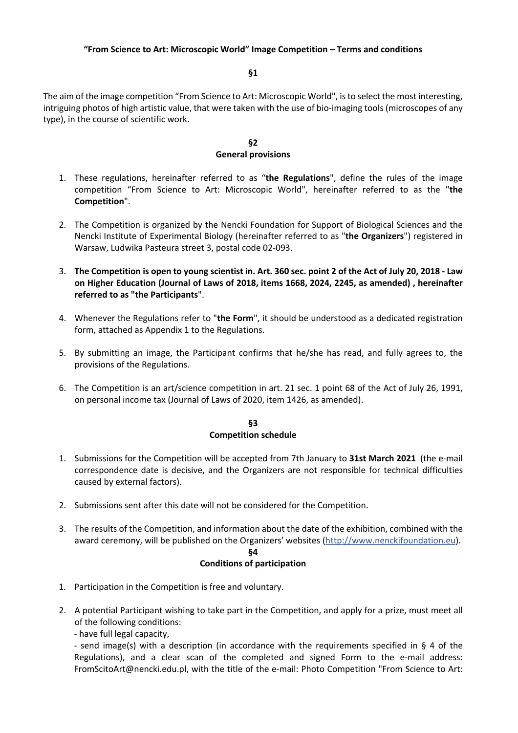#### **§1**

The aim of the image competition "From Science to Art: Microscopic World", is to select the most interesting, intriguing photos of high artistic value, that were taken with the use of bio-imaging tools (microscopes of any type), in the course of scientific work.

#### **§2 General provisions**

- 1. These regulations, hereinafter referred to as "**the Regulations**", define the rules of the image competition "From Science to Art: Microscopic World", hereinafter referred to as the "**the Competition**".
- 2. The Competition is organized by the Nencki Foundation for Support of Biological Sciences and the Nencki Institute of Experimental Biology (hereinafter referred to as "**the Organizers**") registered in Warsaw, Ludwika Pasteura street 3, postal code 02-093.
- 3. **The Competition is open to young scientist in. Art. 360 sec. point 2 of the Act of July 20, 2018 - Law on Higher Education (Journal of Laws of 2018, items 1668, 2024, 2245, as amended) , hereinafter referred to as "the Participants**".
- 4. Whenever the Regulations refer to "**the Form**", it should be understood as a dedicated registration form, attached as Appendix 1 to the Regulations.
- 5. By submitting an image, the Participant confirms that he/she has read, and fully agrees to, the provisions of the Regulations.
- 6. The Competition is an art/science competition in art. 21 sec. 1 point 68 of the Act of July 26, 1991, on personal income tax (Journal of Laws of 2020, item 1426, as amended).

#### **§3 Competition schedule**

- 1. Submissions for the Competition will be accepted from 7th January to **31st March 2021** (the e-mail correspondence date is decisive, and the Organizers are not responsible for technical difficulties caused by external factors).
- 2. Submissions sent after this date will not be considered for the Competition.
- 3. The results of the Competition, and information about the date of the exhibition, combined with the award ceremony, will be published on the Organizers' websites (http://www.nenckifoundation.eu). **§4**

#### **Conditions of participation**

- 1. Participation in the Competition is free and voluntary.
- 2. A potential Participant wishing to take part in the Competition, and apply for a prize, must meet all of the following conditions:
	- have full legal capacity,

- send image(s) with a description (in accordance with the requirements specified in § 4 of the Regulations), and a clear scan of the completed and signed Form to the e-mail address: FromScitoArt@nencki.edu.pl, with the title of the e-mail: Photo Competition "From Science to Art: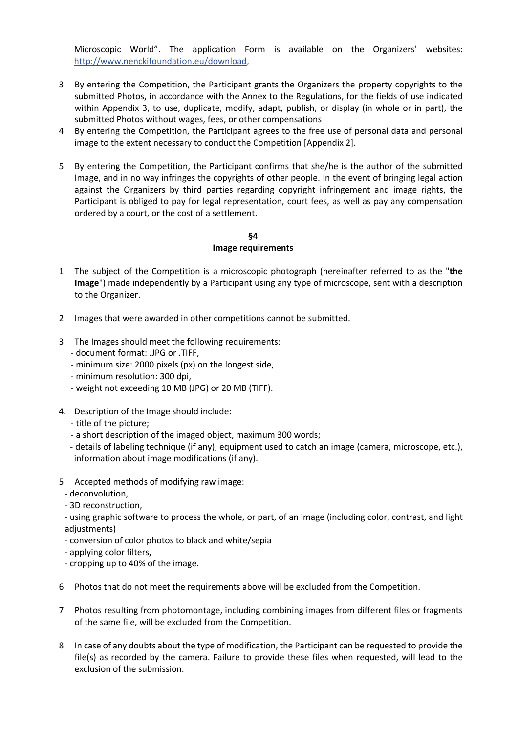Microscopic World". The application Form is available on the Organizers' websites: http://www.nenckifoundation.eu/download,

- 3. By entering the Competition, the Participant grants the Organizers the property copyrights to the submitted Photos, in accordance with the Annex to the Regulations, for the fields of use indicated within Appendix 3, to use, duplicate, modify, adapt, publish, or display (in whole or in part), the submitted Photos without wages, fees, or other compensations
- 4. By entering the Competition, the Participant agrees to the free use of personal data and personal image to the extent necessary to conduct the Competition [Appendix 2].
- 5. By entering the Competition, the Participant confirms that she/he is the author of the submitted Image, and in no way infringes the copyrights of other people. In the event of bringing legal action against the Organizers by third parties regarding copyright infringement and image rights, the Participant is obliged to pay for legal representation, court fees, as well as pay any compensation ordered by a court, or the cost of a settlement.

## **§4 Image requirements**

- 1. The subject of the Competition is a microscopic photograph (hereinafter referred to as the "**the Image**") made independently by a Participant using any type of microscope, sent with a description to the Organizer.
- 2. Images that were awarded in other competitions cannot be submitted.
- 3. The Images should meet the following requirements:
	- document format: .JPG or .TIFF,
	- minimum size: 2000 pixels (px) on the longest side,
	- minimum resolution: 300 dpi,
	- weight not exceeding 10 MB (JPG) or 20 MB (TIFF).
- 4. Description of the Image should include:
	- title of the picture;
	- a short description of the imaged object, maximum 300 words;
	- details of labeling technique (if any), equipment used to catch an image (camera, microscope, etc.), information about image modifications (if any).
- 5. Accepted methods of modifying raw image:
	- deconvolution,
	- 3D reconstruction,
	- using graphic software to process the whole, or part, of an image (including color, contrast, and light adjustments)
	- conversion of color photos to black and white/sepia
	- applying color filters,
	- cropping up to 40% of the image.
- 6. Photos that do not meet the requirements above will be excluded from the Competition.
- 7. Photos resulting from photomontage, including combining images from different files or fragments of the same file, will be excluded from the Competition.
- 8. In case of any doubts about the type of modification, the Participant can be requested to provide the file(s) as recorded by the camera. Failure to provide these files when requested, will lead to the exclusion of the submission.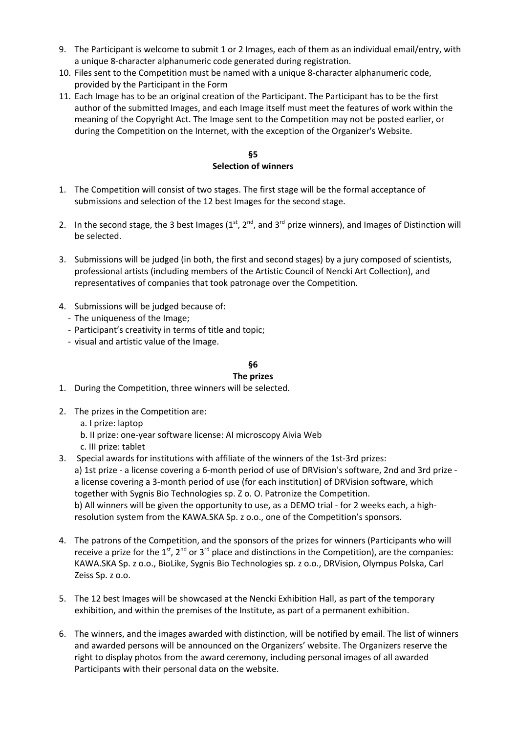- 9. The Participant is welcome to submit 1 or 2 Images, each of them as an individual email/entry, with a unique 8-character alphanumeric code generated during registration.
- 10. Files sent to the Competition must be named with a unique 8-character alphanumeric code, provided by the Participant in the Form
- 11. Each Image has to be an original creation of the Participant. The Participant has to be the first author of the submitted Images, and each Image itself must meet the features of work within the meaning of the Copyright Act. The Image sent to the Competition may not be posted earlier, or during the Competition on the Internet, with the exception of the Organizer's Website.

## **§5 Selection of winners**

- 1. The Competition will consist of two stages. The first stage will be the formal acceptance of submissions and selection of the 12 best Images for the second stage.
- 2. In the second stage, the 3 best Images ( $1^{st}$ ,  $2^{nd}$ , and  $3^{rd}$  prize winners), and Images of Distinction will be selected.
- 3. Submissions will be judged (in both, the first and second stages) by a jury composed of scientists, professional artists (including members of the Artistic Council of Nencki Art Collection), and representatives of companies that took patronage over the Competition.
- 4. Submissions will be judged because of:
	- The uniqueness of the Image;
	- Participant's creativity in terms of title and topic;
	- visual and artistic value of the Image.

## **§6**

### **The prizes**

- 1. During the Competition, three winners will be selected.
- 2. The prizes in the Competition are:
	- a. I prize: laptop
	- b. II prize: one-year software license: AI microscopy Aivia Web
	- c. III prize: tablet
- 3. Special awards for institutions with affiliate of the winners of the 1st-3rd prizes: a) 1st prize - a license covering a 6-month period of use of DRVision's software, 2nd and 3rd prize a license covering a 3-month period of use (for each institution) of DRVision software, which together with Sygnis Bio Technologies sp. Z o. O. Patronize the Competition. b) All winners will be given the opportunity to use, as a DEMO trial - for 2 weeks each, a highresolution system from the KAWA.SKA Sp. z o.o., one of the Competition's sponsors.
- 4. The patrons of the Competition, and the sponsors of the prizes for winners (Participants who will receive a prize for the 1<sup>st</sup>, 2<sup>nd</sup> or 3<sup>rd</sup> place and distinctions in the Competition), are the companies: KAWA.SKA Sp. z o.o., BioLike, Sygnis Bio Technologies sp. z o.o., DRVision, Olympus Polska, Carl Zeiss Sp. z o.o.
- 5. The 12 best Images will be showcased at the Nencki Exhibition Hall, as part of the temporary exhibition, and within the premises of the Institute, as part of a permanent exhibition.
- 6. The winners, and the images awarded with distinction, will be notified by email. The list of winners and awarded persons will be announced on the Organizers' website. The Organizers reserve the right to display photos from the award ceremony, including personal images of all awarded Participants with their personal data on the website.